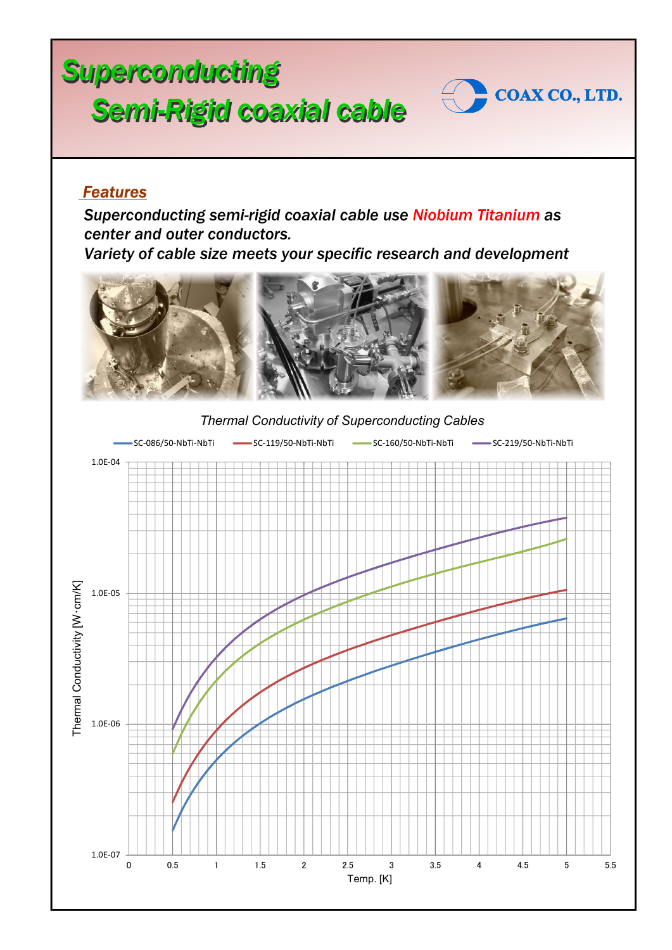## Superconducting Semi-Rigid coaxial cable Coaxco., LTD.



## Features

Superconducting semi-rigid coaxial cable use Niobium Titanium as center and outer conductors.

Variety of cable size meets your specific research and development